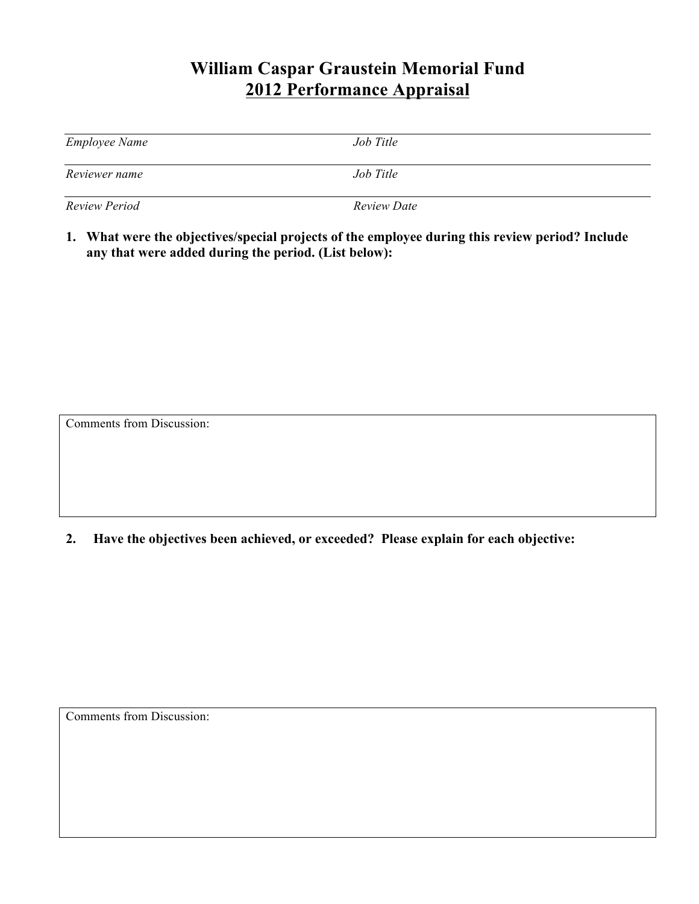## **William Caspar Graustein Memorial Fund 2012 Performance Appraisal**

| <b>Employee Name</b> | Job Title   |
|----------------------|-------------|
| Reviewer name        | Job Title   |
| <b>Review Period</b> | Review Date |

**1. What were the objectives/special projects of the employee during this review period? Include any that were added during the period. (List below):**

Comments from Discussion:

**2. Have the objectives been achieved, or exceeded? Please explain for each objective:**

Comments from Discussion: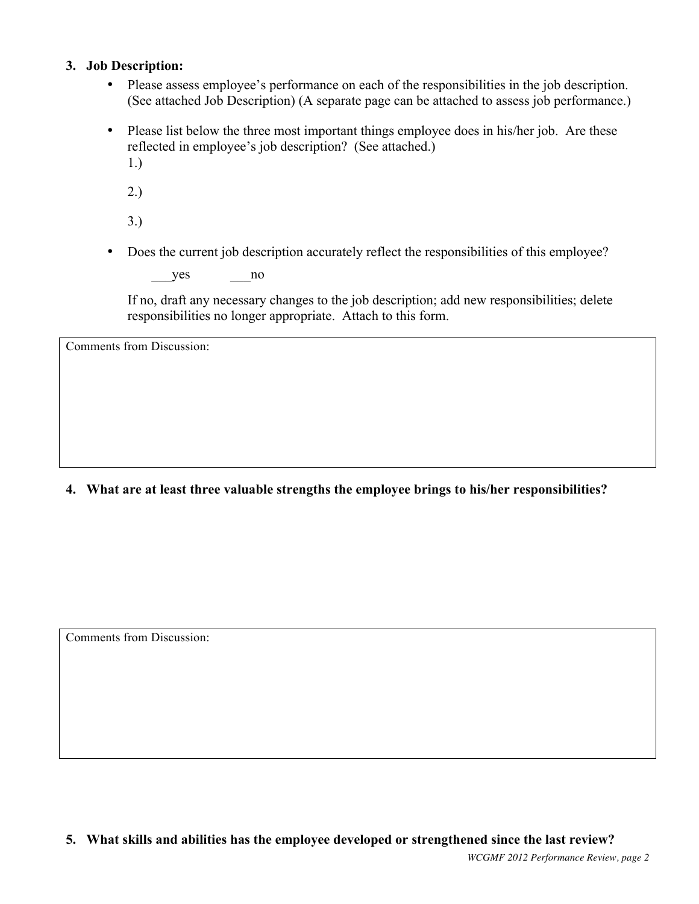#### **3. Job Description:**

- Please assess employee's performance on each of the responsibilities in the job description. (See attached Job Description) (A separate page can be attached to assess job performance.)
- Please list below the three most important things employee does in his/her job. Are these reflected in employee's job description? (See attached.) 1.)
	-
	- 2.)
	- 3.)
- Does the current job description accurately reflect the responsibilities of this employee?

 $yes$  no

If no, draft any necessary changes to the job description; add new responsibilities; delete responsibilities no longer appropriate. Attach to this form.

Comments from Discussion:

**4. What are at least three valuable strengths the employee brings to his/her responsibilities?**

Comments from Discussion:

**5. What skills and abilities has the employee developed or strengthened since the last review?**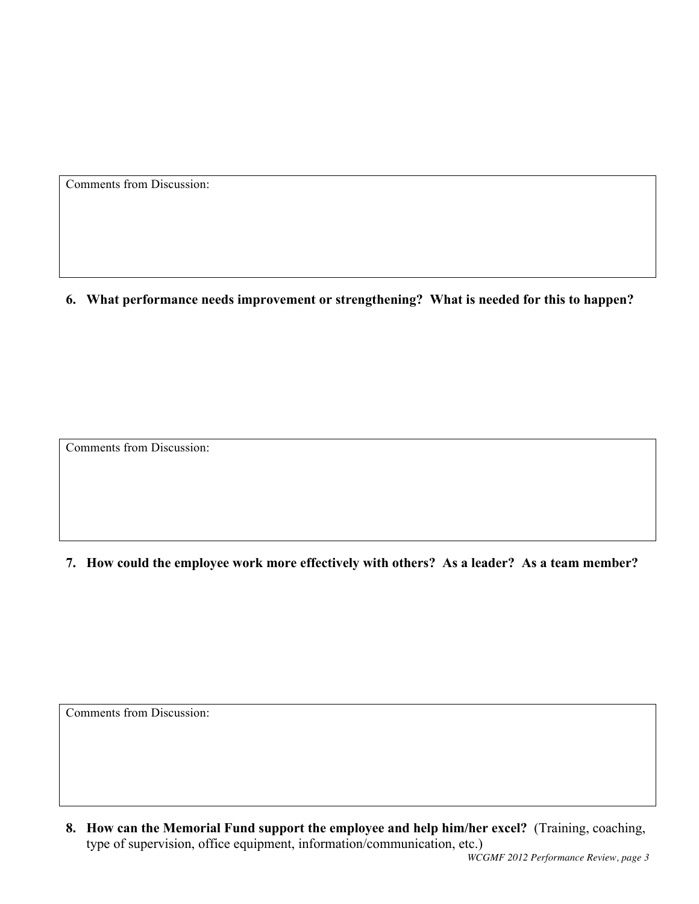Comments from Discussion:

**6. What performance needs improvement or strengthening? What is needed for this to happen?**

Comments from Discussion:

**7. How could the employee work more effectively with others? As a leader? As a team member?**

Comments from Discussion:

**8. How can the Memorial Fund support the employee and help him/her excel?** (Training, coaching, type of supervision, office equipment, information/communication, etc.)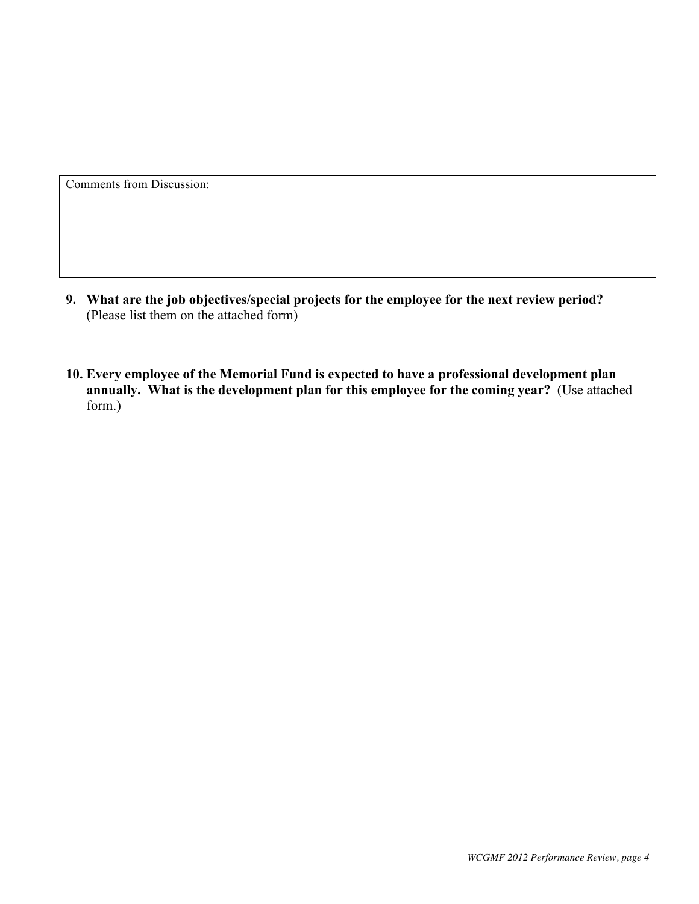Comments from Discussion:

- **9. What are the job objectives/special projects for the employee for the next review period?** (Please list them on the attached form)
- **10. Every employee of the Memorial Fund is expected to have a professional development plan annually. What is the development plan for this employee for the coming year?** (Use attached form.)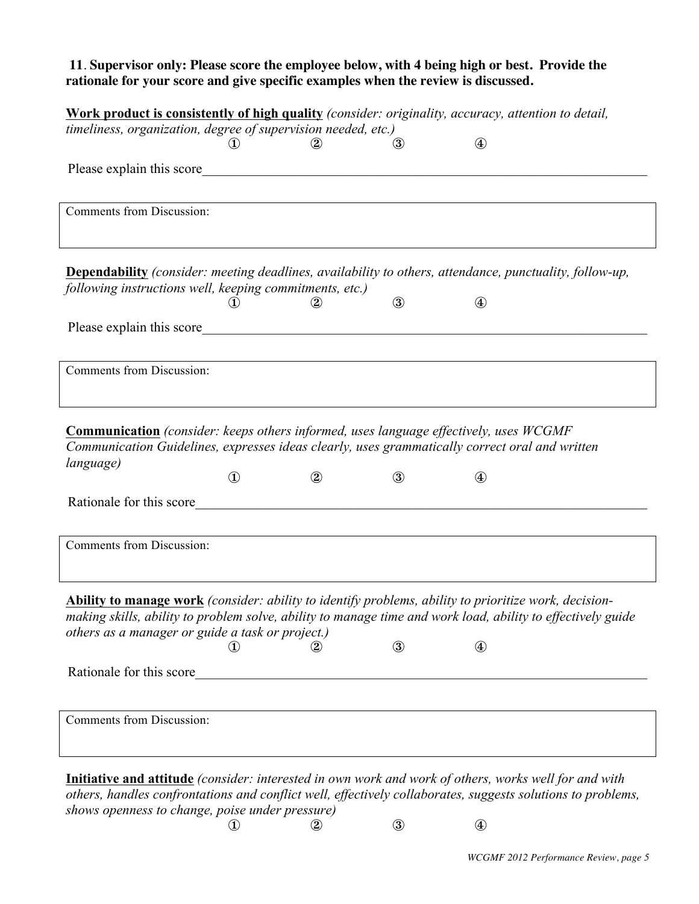### **11**. **Supervisor only: Please score the employee below, with 4 being high or best. Provide the rationale for your score and give specific examples when the review is discussed.**

|                                                                                                                |                         | timeliness, organization, degree of supervision needed, etc.)                                                         |               |                  |  |
|----------------------------------------------------------------------------------------------------------------|-------------------------|-----------------------------------------------------------------------------------------------------------------------|---------------|------------------|--|
|                                                                                                                | $\mathbf{\mathfrak{D}}$ | $\circled{2}$                                                                                                         | $\circled{3}$ | $\circledast$    |  |
|                                                                                                                |                         |                                                                                                                       |               |                  |  |
|                                                                                                                |                         |                                                                                                                       |               |                  |  |
| Comments from Discussion:                                                                                      |                         |                                                                                                                       |               |                  |  |
|                                                                                                                |                         |                                                                                                                       |               |                  |  |
|                                                                                                                |                         |                                                                                                                       |               |                  |  |
| <b>Dependability</b> (consider: meeting deadlines, availability to others, attendance, punctuality, follow-up, |                         |                                                                                                                       |               |                  |  |
| following instructions well, keeping commitments, etc.)                                                        |                         |                                                                                                                       |               |                  |  |
|                                                                                                                | $\mathbf{I}$            | $^{\circledR}$                                                                                                        | $\circled{3}$ | $\bigcircled{4}$ |  |
| Please explain this score                                                                                      |                         |                                                                                                                       |               |                  |  |
|                                                                                                                |                         |                                                                                                                       |               |                  |  |
| <b>Comments from Discussion:</b>                                                                               |                         |                                                                                                                       |               |                  |  |
|                                                                                                                |                         |                                                                                                                       |               |                  |  |
|                                                                                                                |                         |                                                                                                                       |               |                  |  |
| <b>Communication</b> (consider: keeps others informed, uses language effectively, uses WCGMF                   |                         |                                                                                                                       |               |                  |  |
| Communication Guidelines, expresses ideas clearly, uses grammatically correct oral and written<br>language)    |                         |                                                                                                                       |               |                  |  |
|                                                                                                                | $\mathbf{D}$            | $\circled{2}$                                                                                                         | $\circled{3}$ | $\bigcircled{4}$ |  |
| Rationale for this score                                                                                       |                         |                                                                                                                       |               |                  |  |
|                                                                                                                |                         |                                                                                                                       |               |                  |  |
|                                                                                                                |                         |                                                                                                                       |               |                  |  |
|                                                                                                                |                         |                                                                                                                       |               |                  |  |
|                                                                                                                |                         |                                                                                                                       |               |                  |  |
| <b>Comments from Discussion:</b>                                                                               |                         |                                                                                                                       |               |                  |  |
| Ability to manage work (consider: ability to identify problems, ability to prioritize work, decision-          |                         |                                                                                                                       |               |                  |  |
| making skills, ability to problem solve, ability to manage time and work load, ability to effectively guide    |                         |                                                                                                                       |               |                  |  |
| others as a manager or guide a task or project.)                                                               |                         |                                                                                                                       |               |                  |  |
|                                                                                                                | $\circled{1}$           | (2)                                                                                                                   | $\circledS$   | $^{\circledR}$   |  |
|                                                                                                                |                         | <u> 1989 - Johann John Barn, mars ar yw y cynnwys y cynnwys y cynnwys y cynnwys y cynnwys y cynnwys y cynnwys y c</u> |               |                  |  |
|                                                                                                                |                         |                                                                                                                       |               |                  |  |
| Rationale for this score<br><b>Comments from Discussion:</b>                                                   |                         |                                                                                                                       |               |                  |  |
|                                                                                                                |                         |                                                                                                                       |               |                  |  |
| Initiative and attitude (consider: interested in own work and work of others, works well for and with          |                         |                                                                                                                       |               |                  |  |

*shows openness to change, poise under pressure)*  $\textcircled{1}$   $\textcircled{2}$   $\textcircled{3}$   $\textcircled{4}$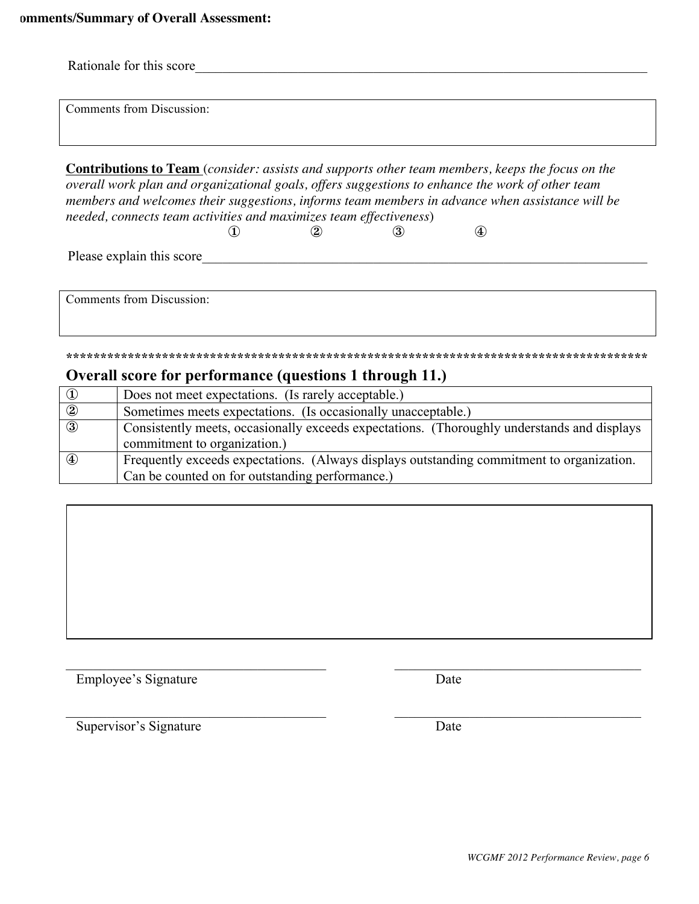|                | Rationale for this score                                                                                                                                                                                                                                                                                                                                                                                                                   |
|----------------|--------------------------------------------------------------------------------------------------------------------------------------------------------------------------------------------------------------------------------------------------------------------------------------------------------------------------------------------------------------------------------------------------------------------------------------------|
|                | <b>Comments from Discussion:</b>                                                                                                                                                                                                                                                                                                                                                                                                           |
|                | <b>Contributions to Team</b> (consider: assists and supports other team members, keeps the focus on the<br>overall work plan and organizational goals, offers suggestions to enhance the work of other team<br>members and welcomes their suggestions, informs team members in advance when assistance will be<br>needed, connects team activities and maximizes team effectiveness)<br>$\circled{4}$<br>$\bf(1)$<br>$\bf (2)$<br>$\bf(3)$ |
|                | Please explain this score                                                                                                                                                                                                                                                                                                                                                                                                                  |
|                | <b>Comments from Discussion:</b>                                                                                                                                                                                                                                                                                                                                                                                                           |
|                |                                                                                                                                                                                                                                                                                                                                                                                                                                            |
|                | Overall score for performance (questions 1 through 11.)                                                                                                                                                                                                                                                                                                                                                                                    |
| $\circled{1}$  | Does not meet expectations. (Is rarely acceptable.)                                                                                                                                                                                                                                                                                                                                                                                        |
| $\overline{2}$ | Sometimes meets expectations. (Is occasionally unacceptable.)                                                                                                                                                                                                                                                                                                                                                                              |
| $\circled{3}$  | Consistently meets, occasionally exceeds expectations. (Thoroughly understands and displays<br>commitment to organization.)                                                                                                                                                                                                                                                                                                                |
| $^{\circledR}$ | Frequently exceeds expectations. (Always displays outstanding commitment to organization.<br>Can be counted on for outstanding performance.)                                                                                                                                                                                                                                                                                               |

 $\_$  , and the contribution of the contribution of  $\mathcal{L}_\mathcal{A}$  , and the contribution of  $\mathcal{L}_\mathcal{A}$ 

 $\mathcal{L}_\mathcal{L} = \{ \mathcal{L}_\mathcal{L} = \{ \mathcal{L}_\mathcal{L} = \{ \mathcal{L}_\mathcal{L} = \{ \mathcal{L}_\mathcal{L} = \{ \mathcal{L}_\mathcal{L} = \{ \mathcal{L}_\mathcal{L} = \{ \mathcal{L}_\mathcal{L} = \{ \mathcal{L}_\mathcal{L} = \{ \mathcal{L}_\mathcal{L} = \{ \mathcal{L}_\mathcal{L} = \{ \mathcal{L}_\mathcal{L} = \{ \mathcal{L}_\mathcal{L} = \{ \mathcal{L}_\mathcal{L} = \{ \mathcal{L}_\mathcal{$ 

Employee's Signature Date

Supervisor's Signature Date